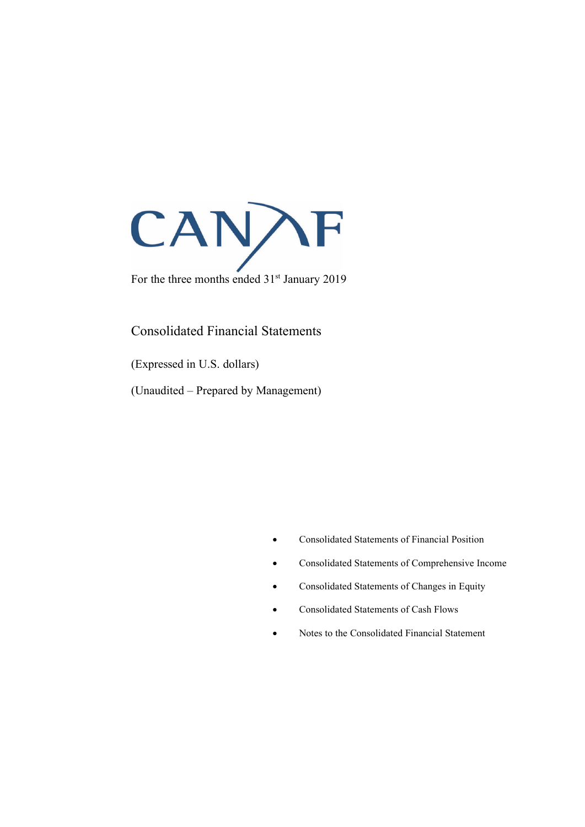

Consolidated Financial Statements

(Expressed in U.S. dollars)

(Unaudited – Prepared by Management)

- Consolidated Statements of Financial Position
- Consolidated Statements of Comprehensive Income
- Consolidated Statements of Changes in Equity
- Consolidated Statements of Cash Flows
- Notes to the Consolidated Financial Statement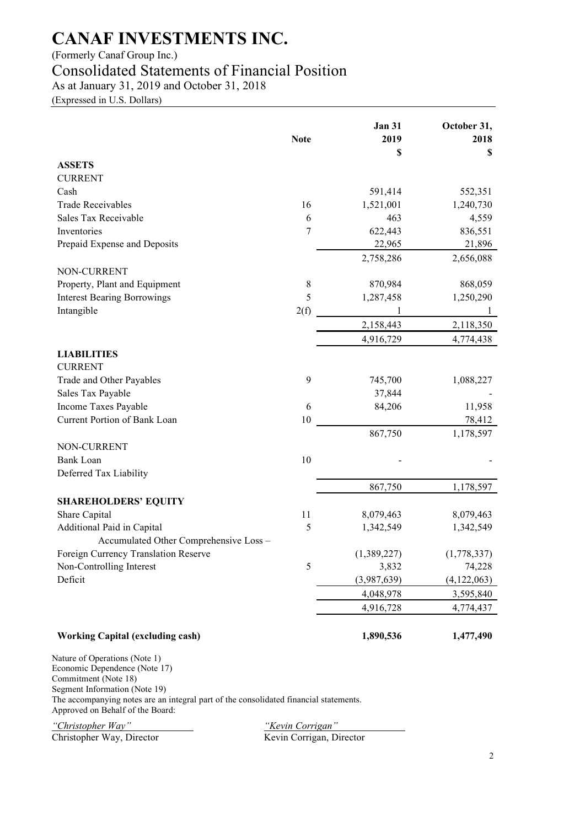(Formerly Canaf Group Inc.)

# Consolidated Statements of Financial Position

As at January 31, 2019 and October 31, 2018

(Expressed in U.S. Dollars)

|                                                                                                                                                                                                                                                      | <b>Note</b> | <b>Jan 31</b><br>2019<br>\$ | October 31,<br>2018<br>\$ |
|------------------------------------------------------------------------------------------------------------------------------------------------------------------------------------------------------------------------------------------------------|-------------|-----------------------------|---------------------------|
| <b>ASSETS</b>                                                                                                                                                                                                                                        |             |                             |                           |
| <b>CURRENT</b>                                                                                                                                                                                                                                       |             |                             |                           |
| Cash                                                                                                                                                                                                                                                 |             | 591,414                     | 552,351                   |
| <b>Trade Receivables</b>                                                                                                                                                                                                                             | 16          | 1,521,001                   | 1,240,730                 |
| Sales Tax Receivable                                                                                                                                                                                                                                 | 6           | 463                         | 4,559                     |
| Inventories                                                                                                                                                                                                                                          | 7           | 622,443                     | 836,551                   |
| Prepaid Expense and Deposits                                                                                                                                                                                                                         |             | 22,965                      | 21,896                    |
|                                                                                                                                                                                                                                                      |             | 2,758,286                   | 2,656,088                 |
| NON-CURRENT                                                                                                                                                                                                                                          |             |                             |                           |
| Property, Plant and Equipment                                                                                                                                                                                                                        | 8           | 870,984                     | 868,059                   |
| <b>Interest Bearing Borrowings</b>                                                                                                                                                                                                                   | 5           | 1,287,458                   | 1,250,290                 |
| Intangible                                                                                                                                                                                                                                           | 2(f)        |                             |                           |
|                                                                                                                                                                                                                                                      |             | 2,158,443                   | 2,118,350                 |
|                                                                                                                                                                                                                                                      |             | 4,916,729                   | 4,774,438                 |
| <b>LIABILITIES</b>                                                                                                                                                                                                                                   |             |                             |                           |
| <b>CURRENT</b>                                                                                                                                                                                                                                       |             |                             |                           |
| Trade and Other Payables                                                                                                                                                                                                                             | 9           | 745,700                     | 1,088,227                 |
| Sales Tax Payable                                                                                                                                                                                                                                    |             | 37,844                      |                           |
| Income Taxes Payable                                                                                                                                                                                                                                 | 6           | 84,206                      | 11,958                    |
| Current Portion of Bank Loan                                                                                                                                                                                                                         | 10          |                             | 78,412                    |
|                                                                                                                                                                                                                                                      |             | 867,750                     | 1,178,597                 |
| NON-CURRENT                                                                                                                                                                                                                                          |             |                             |                           |
| <b>Bank Loan</b>                                                                                                                                                                                                                                     | 10          |                             |                           |
| Deferred Tax Liability                                                                                                                                                                                                                               |             |                             |                           |
|                                                                                                                                                                                                                                                      |             | 867,750                     | 1,178,597                 |
| <b>SHAREHOLDERS' EQUITY</b>                                                                                                                                                                                                                          |             |                             |                           |
| Share Capital                                                                                                                                                                                                                                        | 11          | 8,079,463                   | 8,079,463                 |
| Additional Paid in Capital                                                                                                                                                                                                                           | 5           | 1,342,549                   | 1,342,549                 |
| Accumulated Other Comprehensive Loss -                                                                                                                                                                                                               |             |                             |                           |
| Foreign Currency Translation Reserve                                                                                                                                                                                                                 |             | (1,389,227)                 | (1,778,337)               |
| Non-Controlling Interest                                                                                                                                                                                                                             | 5           | 3,832                       | 74,228                    |
| Deficit                                                                                                                                                                                                                                              |             | (3,987,639)                 | (4, 122, 063)             |
|                                                                                                                                                                                                                                                      |             | 4,048,978                   | 3,595,840                 |
|                                                                                                                                                                                                                                                      |             | 4,916,728                   | 4,774,437                 |
|                                                                                                                                                                                                                                                      |             |                             |                           |
| <b>Working Capital (excluding cash)</b>                                                                                                                                                                                                              |             | 1,890,536                   | 1,477,490                 |
| Nature of Operations (Note 1)<br>Economic Dependence (Note 17)<br>Commitment (Note 18)<br>Segment Information (Note 19)<br>The accompanying notes are an integral part of the consolidated financial statements.<br>Approved on Behalf of the Board: |             |                             |                           |

Christopher Way, Director

*"Christopher Way" "Kevin Corrigan"*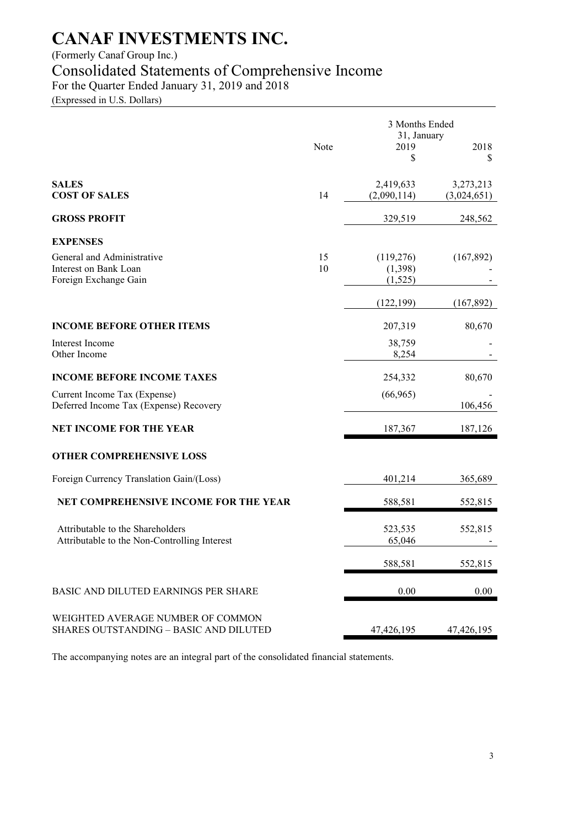### (Formerly Canaf Group Inc.)

## Consolidated Statements of Comprehensive Income

For the Quarter Ended January 31, 2019 and 2018

(Expressed in U.S. Dollars)

|                                                                                  |          | 3 Months Ended<br>31, January   |                          |
|----------------------------------------------------------------------------------|----------|---------------------------------|--------------------------|
|                                                                                  | Note     | 2019<br>\$                      | 2018<br>\$               |
| <b>SALES</b><br><b>COST OF SALES</b>                                             | 14       | 2,419,633<br>(2,090,114)        | 3,273,213<br>(3,024,651) |
| <b>GROSS PROFIT</b>                                                              |          | 329,519                         | 248,562                  |
| <b>EXPENSES</b>                                                                  |          |                                 |                          |
| General and Administrative<br>Interest on Bank Loan<br>Foreign Exchange Gain     | 15<br>10 | (119,276)<br>(1,398)<br>(1,525) | (167, 892)               |
|                                                                                  |          | (122, 199)                      | (167, 892)               |
| <b>INCOME BEFORE OTHER ITEMS</b>                                                 |          | 207,319                         | 80,670                   |
| Interest Income<br>Other Income                                                  |          | 38,759<br>8,254                 |                          |
| <b>INCOME BEFORE INCOME TAXES</b>                                                |          | 254,332                         | 80,670                   |
| Current Income Tax (Expense)<br>Deferred Income Tax (Expense) Recovery           |          | (66, 965)                       | 106,456                  |
| <b>NET INCOME FOR THE YEAR</b>                                                   |          | 187,367                         | 187,126                  |
| <b>OTHER COMPREHENSIVE LOSS</b>                                                  |          |                                 |                          |
| Foreign Currency Translation Gain/(Loss)                                         |          | 401,214                         | 365,689                  |
| NET COMPREHENSIVE INCOME FOR THE YEAR                                            |          | 588,581                         | 552,815                  |
| Attributable to the Shareholders<br>Attributable to the Non-Controlling Interest |          | 523,535<br>65,046               | 552,815                  |
|                                                                                  |          | 588,581                         | 552,815                  |
| BASIC AND DILUTED EARNINGS PER SHARE                                             |          | 0.00                            | $0.00\,$                 |
| WEIGHTED AVERAGE NUMBER OF COMMON<br>SHARES OUTSTANDING - BASIC AND DILUTED      |          | 47, 426, 195                    | 47,426,195               |

The accompanying notes are an integral part of the consolidated financial statements.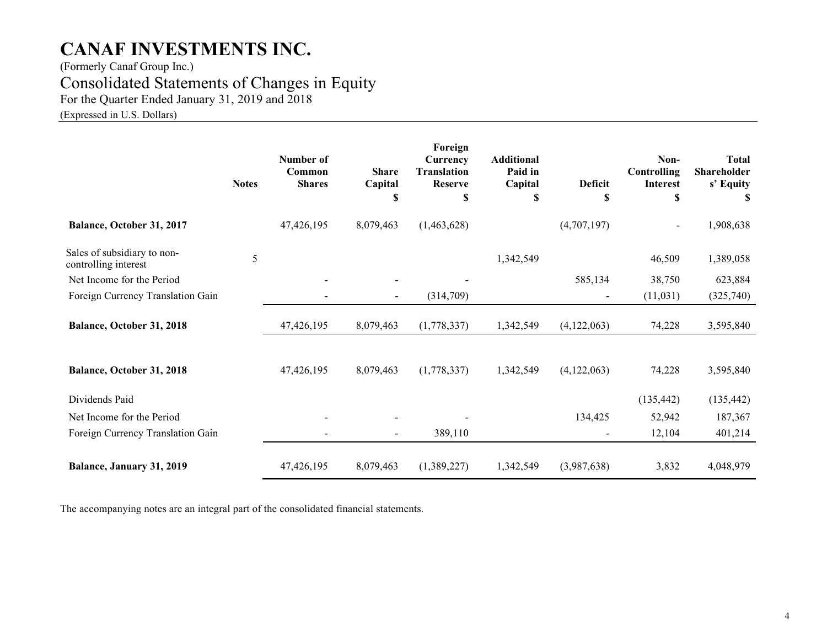(Formerly Canaf Group Inc.) Consolidated Statements of Changes in Equity For the Quarter Ended January 31, 2019 and 2018

(Expressed in U.S. Dollars)

|                                                     | <b>Notes</b> | Number of<br>Common<br><b>Shares</b> | <b>Share</b><br>Capital<br>S | Foreign<br>Currency<br><b>Translation</b><br><b>Reserve</b><br>\$ | <b>Additional</b><br>Paid in<br>Capital<br>\$ | <b>Deficit</b><br><sup>\$</sup> | Non-<br>Controlling<br><b>Interest</b><br>\$ | <b>Total</b><br>Shareholder<br>s' Equity<br>S |
|-----------------------------------------------------|--------------|--------------------------------------|------------------------------|-------------------------------------------------------------------|-----------------------------------------------|---------------------------------|----------------------------------------------|-----------------------------------------------|
| Balance, October 31, 2017                           |              | 47,426,195                           | 8,079,463                    | (1,463,628)                                                       |                                               | (4,707,197)                     | $\overline{\phantom{a}}$                     | 1,908,638                                     |
| Sales of subsidiary to non-<br>controlling interest | 5            |                                      |                              |                                                                   | 1,342,549                                     |                                 | 46,509                                       | 1,389,058                                     |
| Net Income for the Period                           |              |                                      |                              |                                                                   |                                               | 585,134                         | 38,750                                       | 623,884                                       |
| Foreign Currency Translation Gain                   |              |                                      | $\overline{\phantom{0}}$     | (314,709)                                                         |                                               |                                 | (11, 031)                                    | (325,740)                                     |
| Balance, October 31, 2018                           |              | 47,426,195                           | 8,079,463                    | (1,778,337)                                                       | 1,342,549                                     | (4,122,063)                     | 74,228                                       | 3,595,840                                     |
| Balance, October 31, 2018                           |              | 47,426,195                           | 8,079,463                    | (1,778,337)                                                       | 1,342,549                                     | (4,122,063)                     | 74,228                                       | 3,595,840                                     |
| Dividends Paid                                      |              |                                      |                              |                                                                   |                                               |                                 | (135, 442)                                   | (135, 442)                                    |
| Net Income for the Period                           |              |                                      |                              |                                                                   |                                               | 134,425                         | 52,942                                       | 187,367                                       |
| Foreign Currency Translation Gain                   |              |                                      |                              | 389,110                                                           |                                               |                                 | 12,104                                       | 401,214                                       |
| Balance, January 31, 2019                           |              | 47,426,195                           | 8,079,463                    | (1,389,227)                                                       | 1,342,549                                     | (3,987,638)                     | 3,832                                        | 4,048,979                                     |

The accompanying notes are an integral part of the consolidated financial statements.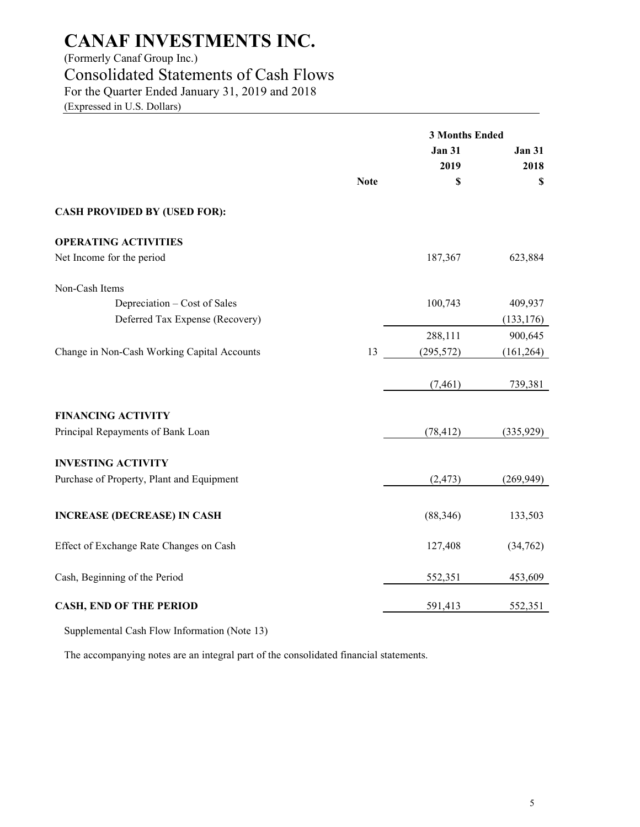### (Formerly Canaf Group Inc.)

## Consolidated Statements of Cash Flows

For the Quarter Ended January 31, 2019 and 2018

(Expressed in U.S. Dollars)

|                                             |             | <b>3 Months Ended</b> |               |
|---------------------------------------------|-------------|-----------------------|---------------|
|                                             |             | <b>Jan 31</b>         | <b>Jan 31</b> |
|                                             |             | 2019                  | 2018          |
|                                             | <b>Note</b> | \$                    | \$            |
| <b>CASH PROVIDED BY (USED FOR):</b>         |             |                       |               |
| <b>OPERATING ACTIVITIES</b>                 |             |                       |               |
| Net Income for the period                   |             | 187,367               | 623,884       |
| Non-Cash Items                              |             |                       |               |
| Depreciation - Cost of Sales                |             | 100,743               | 409,937       |
| Deferred Tax Expense (Recovery)             |             |                       | (133, 176)    |
|                                             |             | 288,111               | 900,645       |
| Change in Non-Cash Working Capital Accounts | 13          | (295, 572)            | (161, 264)    |
|                                             |             | (7, 461)              | 739,381       |
| <b>FINANCING ACTIVITY</b>                   |             |                       |               |
| Principal Repayments of Bank Loan           |             | (78, 412)             | (335, 929)    |
| <b>INVESTING ACTIVITY</b>                   |             |                       |               |
| Purchase of Property, Plant and Equipment   |             | (2, 473)              | (269, 949)    |
| <b>INCREASE (DECREASE) IN CASH</b>          |             | (88, 346)             | 133,503       |
| Effect of Exchange Rate Changes on Cash     |             | 127,408               | (34, 762)     |
| Cash, Beginning of the Period               |             | 552,351               | 453,609       |
| <b>CASH, END OF THE PERIOD</b>              |             | 591,413               | 552,351       |

Supplemental Cash Flow Information (Note 13)

The accompanying notes are an integral part of the consolidated financial statements.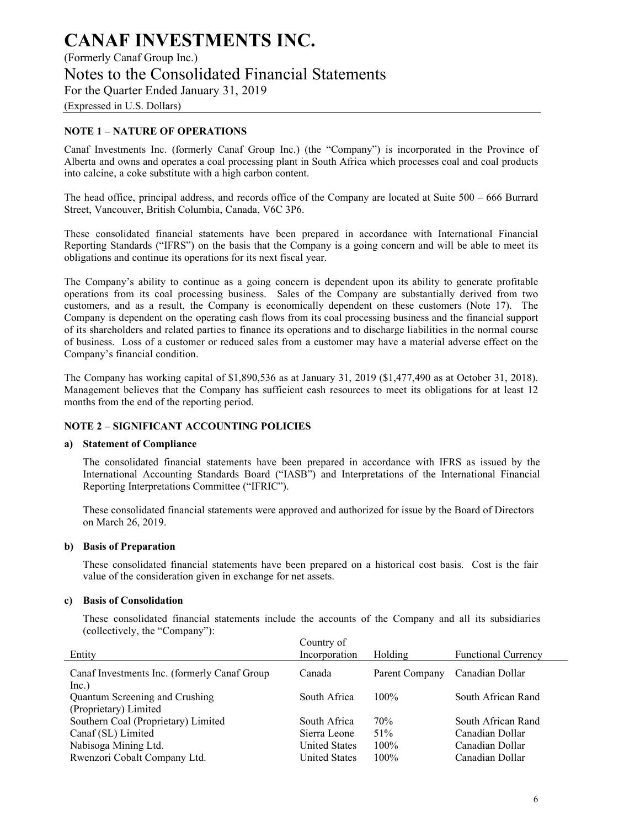## **CANAF INVESTMENTS INC.**  (Formerly Canaf Group Inc.) Notes to the Consolidated Financial Statements For the Quarter Ended January 31, 2019 (Expressed in U.S. Dollars)

#### **NOTE 1 – NATURE OF OPERATIONS**

Canaf Investments Inc. (formerly Canaf Group Inc.) (the "Company") is incorporated in the Province of Alberta and owns and operates a coal processing plant in South Africa which processes coal and coal products into calcine, a coke substitute with a high carbon content.

The head office, principal address, and records office of the Company are located at Suite 500 – 666 Burrard Street, Vancouver, British Columbia, Canada, V6C 3P6.

These consolidated financial statements have been prepared in accordance with International Financial Reporting Standards ("IFRS") on the basis that the Company is a going concern and will be able to meet its obligations and continue its operations for its next fiscal year.

The Company's ability to continue as a going concern is dependent upon its ability to generate profitable operations from its coal processing business. Sales of the Company are substantially derived from two customers, and as a result, the Company is economically dependent on these customers (Note 17). The Company is dependent on the operating cash flows from its coal processing business and the financial support of its shareholders and related parties to finance its operations and to discharge liabilities in the normal course of business. Loss of a customer or reduced sales from a customer may have a material adverse effect on the Company's financial condition.

The Company has working capital of \$1,890,536 as at January 31, 2019 (\$1,477,490 as at October 31, 2018). Management believes that the Company has sufficient cash resources to meet its obligations for at least 12 months from the end of the reporting period.

#### **NOTE 2 – SIGNIFICANT ACCOUNTING POLICIES**

#### **a) Statement of Compliance**

The consolidated financial statements have been prepared in accordance with IFRS as issued by the International Accounting Standards Board ("IASB") and Interpretations of the International Financial Reporting Interpretations Committee ("IFRIC").

These consolidated financial statements were approved and authorized for issue by the Board of Directors on March 26, 2019.

#### **b) Basis of Preparation**

These consolidated financial statements have been prepared on a historical cost basis. Cost is the fair value of the consideration given in exchange for net assets.

#### **c) Basis of Consolidation**

These consolidated financial statements include the accounts of the Company and all its subsidiaries (collectively, the "Company"):

| Country of           |                |                            |
|----------------------|----------------|----------------------------|
| Incorporation        | Holding        | <b>Functional Currency</b> |
| Canada               | Parent Company | Canadian Dollar            |
|                      |                |                            |
| South Africa         | 100%           | South African Rand         |
|                      |                |                            |
| South Africa         | 70%            | South African Rand         |
| Sierra Leone         | 51%            | Canadian Dollar            |
| <b>United States</b> | $100\%$        | Canadian Dollar            |
| <b>United States</b> | $100\%$        | Canadian Dollar            |
|                      |                |                            |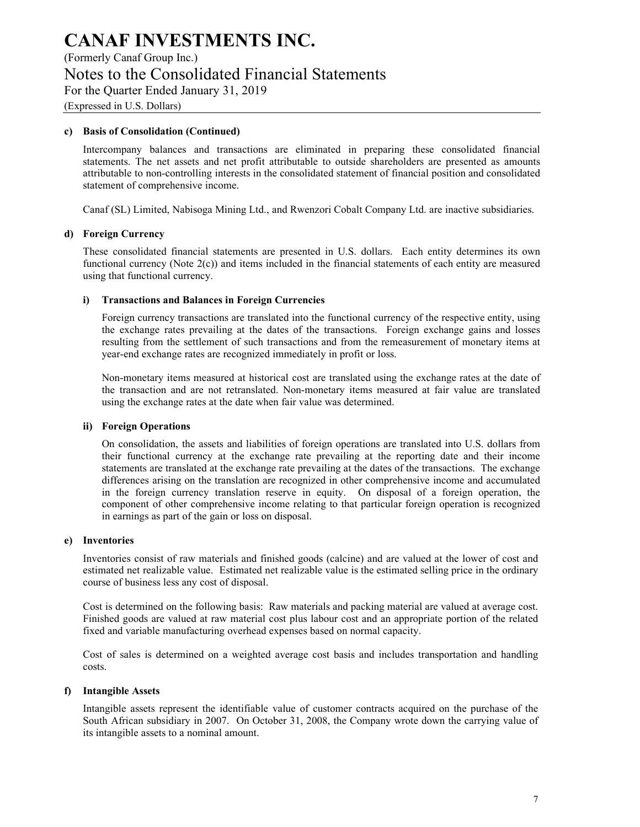(Formerly Canaf Group Inc.)

Notes to the Consolidated Financial Statements

For the Quarter Ended January 31, 2019

(Expressed in U.S. Dollars)

#### **c) Basis of Consolidation (Continued)**

Intercompany balances and transactions are eliminated in preparing these consolidated financial statements. The net assets and net profit attributable to outside shareholders are presented as amounts attributable to non-controlling interests in the consolidated statement of financial position and consolidated statement of comprehensive income.

Canaf (SL) Limited, Nabisoga Mining Ltd., and Rwenzori Cobalt Company Ltd. are inactive subsidiaries.

#### **d) Foreign Currency**

These consolidated financial statements are presented in U.S. dollars. Each entity determines its own functional currency (Note 2(c)) and items included in the financial statements of each entity are measured using that functional currency.

#### **i) Transactions and Balances in Foreign Currencies**

Foreign currency transactions are translated into the functional currency of the respective entity, using the exchange rates prevailing at the dates of the transactions. Foreign exchange gains and losses resulting from the settlement of such transactions and from the remeasurement of monetary items at year-end exchange rates are recognized immediately in profit or loss.

Non-monetary items measured at historical cost are translated using the exchange rates at the date of the transaction and are not retranslated. Non-monetary items measured at fair value are translated using the exchange rates at the date when fair value was determined.

#### **ii) Foreign Operations**

On consolidation, the assets and liabilities of foreign operations are translated into U.S. dollars from their functional currency at the exchange rate prevailing at the reporting date and their income statements are translated at the exchange rate prevailing at the dates of the transactions. The exchange differences arising on the translation are recognized in other comprehensive income and accumulated in the foreign currency translation reserve in equity. On disposal of a foreign operation, the component of other comprehensive income relating to that particular foreign operation is recognized in earnings as part of the gain or loss on disposal.

#### **e) Inventories**

Inventories consist of raw materials and finished goods (calcine) and are valued at the lower of cost and estimated net realizable value. Estimated net realizable value is the estimated selling price in the ordinary course of business less any cost of disposal.

Cost is determined on the following basis: Raw materials and packing material are valued at average cost. Finished goods are valued at raw material cost plus labour cost and an appropriate portion of the related fixed and variable manufacturing overhead expenses based on normal capacity.

Cost of sales is determined on a weighted average cost basis and includes transportation and handling costs.

#### **f) Intangible Assets**

Intangible assets represent the identifiable value of customer contracts acquired on the purchase of the South African subsidiary in 2007. On October 31, 2008, the Company wrote down the carrying value of its intangible assets to a nominal amount.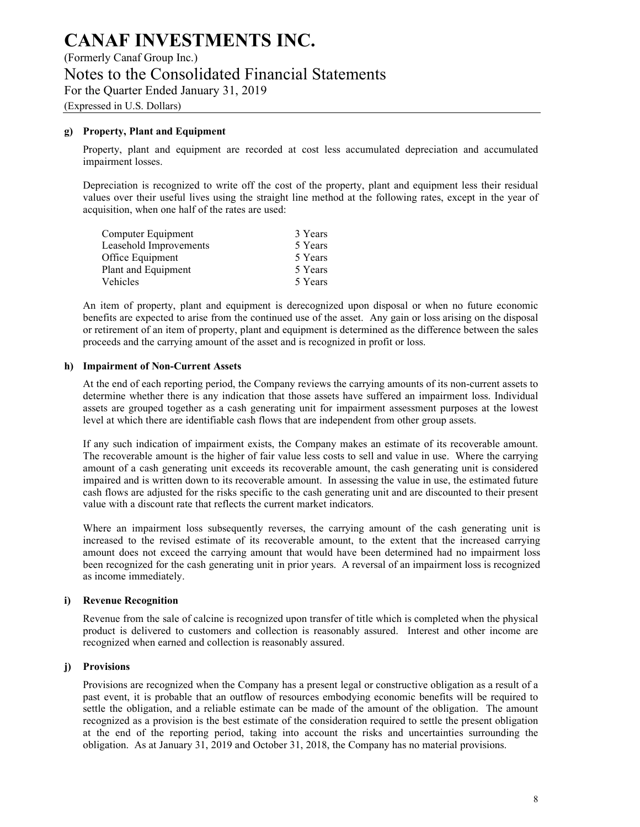## **CANAF INVESTMENTS INC.**  (Formerly Canaf Group Inc.)

Notes to the Consolidated Financial Statements

For the Quarter Ended January 31, 2019

(Expressed in U.S. Dollars)

#### **g) Property, Plant and Equipment**

Property, plant and equipment are recorded at cost less accumulated depreciation and accumulated impairment losses.

Depreciation is recognized to write off the cost of the property, plant and equipment less their residual values over their useful lives using the straight line method at the following rates, except in the year of acquisition, when one half of the rates are used:

| 3 Years |
|---------|
| 5 Years |
| 5 Years |
| 5 Years |
| 5 Years |
|         |

An item of property, plant and equipment is derecognized upon disposal or when no future economic benefits are expected to arise from the continued use of the asset. Any gain or loss arising on the disposal or retirement of an item of property, plant and equipment is determined as the difference between the sales proceeds and the carrying amount of the asset and is recognized in profit or loss.

#### **h) Impairment of Non-Current Assets**

At the end of each reporting period, the Company reviews the carrying amounts of its non-current assets to determine whether there is any indication that those assets have suffered an impairment loss. Individual assets are grouped together as a cash generating unit for impairment assessment purposes at the lowest level at which there are identifiable cash flows that are independent from other group assets.

If any such indication of impairment exists, the Company makes an estimate of its recoverable amount. The recoverable amount is the higher of fair value less costs to sell and value in use. Where the carrying amount of a cash generating unit exceeds its recoverable amount, the cash generating unit is considered impaired and is written down to its recoverable amount. In assessing the value in use, the estimated future cash flows are adjusted for the risks specific to the cash generating unit and are discounted to their present value with a discount rate that reflects the current market indicators.

Where an impairment loss subsequently reverses, the carrying amount of the cash generating unit is increased to the revised estimate of its recoverable amount, to the extent that the increased carrying amount does not exceed the carrying amount that would have been determined had no impairment loss been recognized for the cash generating unit in prior years. A reversal of an impairment loss is recognized as income immediately.

#### **i) Revenue Recognition**

Revenue from the sale of calcine is recognized upon transfer of title which is completed when the physical product is delivered to customers and collection is reasonably assured. Interest and other income are recognized when earned and collection is reasonably assured.

#### **j) Provisions**

Provisions are recognized when the Company has a present legal or constructive obligation as a result of a past event, it is probable that an outflow of resources embodying economic benefits will be required to settle the obligation, and a reliable estimate can be made of the amount of the obligation. The amount recognized as a provision is the best estimate of the consideration required to settle the present obligation at the end of the reporting period, taking into account the risks and uncertainties surrounding the obligation. As at January 31, 2019 and October 31, 2018, the Company has no material provisions.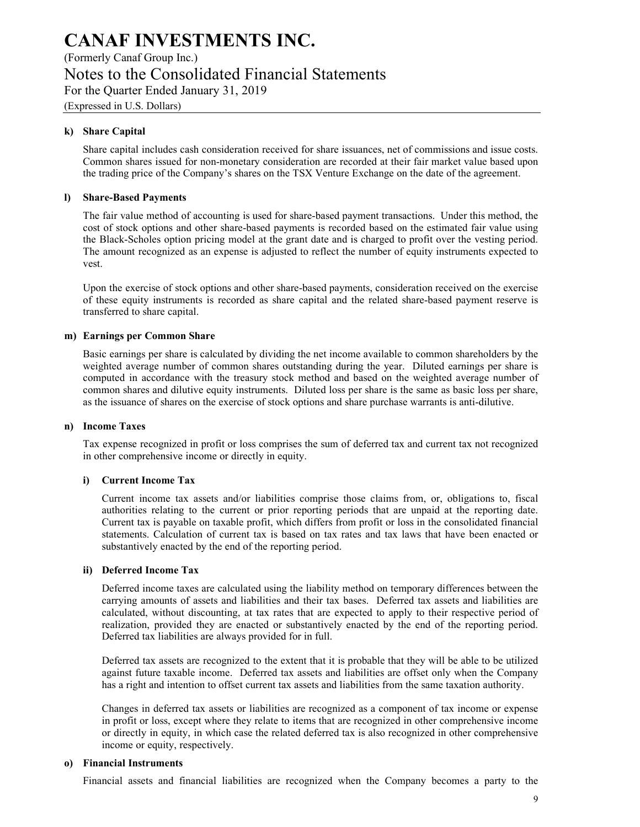(Formerly Canaf Group Inc.)

Notes to the Consolidated Financial Statements

For the Quarter Ended January 31, 2019

(Expressed in U.S. Dollars)

#### **k) Share Capital**

Share capital includes cash consideration received for share issuances, net of commissions and issue costs. Common shares issued for non-monetary consideration are recorded at their fair market value based upon the trading price of the Company's shares on the TSX Venture Exchange on the date of the agreement.

#### **l) Share-Based Payments**

The fair value method of accounting is used for share-based payment transactions. Under this method, the cost of stock options and other share-based payments is recorded based on the estimated fair value using the Black-Scholes option pricing model at the grant date and is charged to profit over the vesting period. The amount recognized as an expense is adjusted to reflect the number of equity instruments expected to vest.

Upon the exercise of stock options and other share-based payments, consideration received on the exercise of these equity instruments is recorded as share capital and the related share-based payment reserve is transferred to share capital.

#### **m) Earnings per Common Share**

Basic earnings per share is calculated by dividing the net income available to common shareholders by the weighted average number of common shares outstanding during the year. Diluted earnings per share is computed in accordance with the treasury stock method and based on the weighted average number of common shares and dilutive equity instruments. Diluted loss per share is the same as basic loss per share, as the issuance of shares on the exercise of stock options and share purchase warrants is anti-dilutive.

#### **n) Income Taxes**

Tax expense recognized in profit or loss comprises the sum of deferred tax and current tax not recognized in other comprehensive income or directly in equity.

#### **i) Current Income Tax**

Current income tax assets and/or liabilities comprise those claims from, or, obligations to, fiscal authorities relating to the current or prior reporting periods that are unpaid at the reporting date. Current tax is payable on taxable profit, which differs from profit or loss in the consolidated financial statements. Calculation of current tax is based on tax rates and tax laws that have been enacted or substantively enacted by the end of the reporting period.

#### **ii) Deferred Income Tax**

Deferred income taxes are calculated using the liability method on temporary differences between the carrying amounts of assets and liabilities and their tax bases. Deferred tax assets and liabilities are calculated, without discounting, at tax rates that are expected to apply to their respective period of realization, provided they are enacted or substantively enacted by the end of the reporting period. Deferred tax liabilities are always provided for in full.

Deferred tax assets are recognized to the extent that it is probable that they will be able to be utilized against future taxable income. Deferred tax assets and liabilities are offset only when the Company has a right and intention to offset current tax assets and liabilities from the same taxation authority.

Changes in deferred tax assets or liabilities are recognized as a component of tax income or expense in profit or loss, except where they relate to items that are recognized in other comprehensive income or directly in equity, in which case the related deferred tax is also recognized in other comprehensive income or equity, respectively.

#### **o) Financial Instruments**

Financial assets and financial liabilities are recognized when the Company becomes a party to the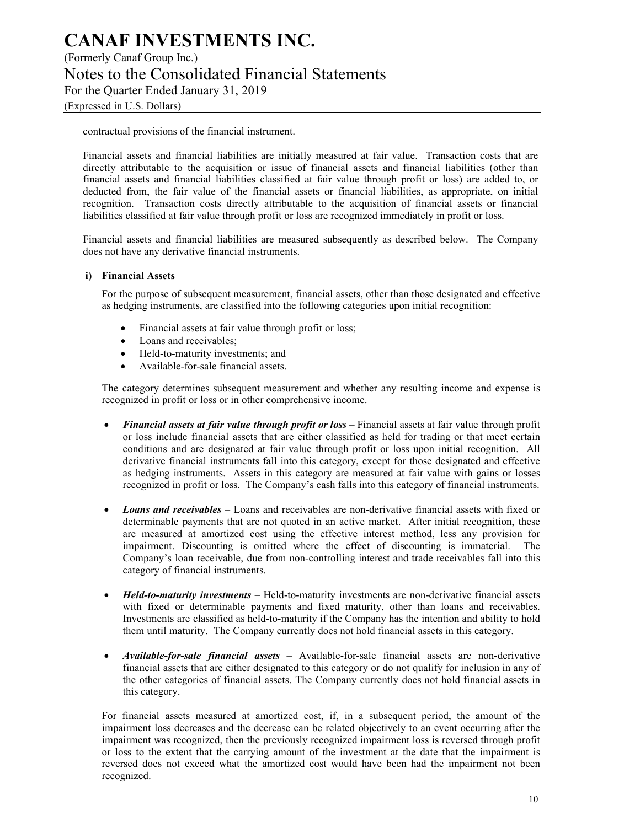## **CANAF INVESTMENTS INC.**  (Formerly Canaf Group Inc.) Notes to the Consolidated Financial Statements For the Quarter Ended January 31, 2019 (Expressed in U.S. Dollars)

#### contractual provisions of the financial instrument.

Financial assets and financial liabilities are initially measured at fair value. Transaction costs that are directly attributable to the acquisition or issue of financial assets and financial liabilities (other than financial assets and financial liabilities classified at fair value through profit or loss) are added to, or deducted from, the fair value of the financial assets or financial liabilities, as appropriate, on initial recognition. Transaction costs directly attributable to the acquisition of financial assets or financial liabilities classified at fair value through profit or loss are recognized immediately in profit or loss.

Financial assets and financial liabilities are measured subsequently as described below. The Company does not have any derivative financial instruments.

#### **i) Financial Assets**

For the purpose of subsequent measurement, financial assets, other than those designated and effective as hedging instruments, are classified into the following categories upon initial recognition:

- Financial assets at fair value through profit or loss;
- Loans and receivables;
- Held-to-maturity investments; and
- Available-for-sale financial assets.

The category determines subsequent measurement and whether any resulting income and expense is recognized in profit or loss or in other comprehensive income.

- *Financial assets at fair value through profit or loss* Financial assets at fair value through profit or loss include financial assets that are either classified as held for trading or that meet certain conditions and are designated at fair value through profit or loss upon initial recognition. All derivative financial instruments fall into this category, except for those designated and effective as hedging instruments. Assets in this category are measured at fair value with gains or losses recognized in profit or loss. The Company's cash falls into this category of financial instruments.
- *Loans and receivables* Loans and receivables are non-derivative financial assets with fixed or determinable payments that are not quoted in an active market. After initial recognition, these are measured at amortized cost using the effective interest method, less any provision for impairment. Discounting is omitted where the effect of discounting is immaterial. The Company's loan receivable, due from non-controlling interest and trade receivables fall into this category of financial instruments.
- *Held-to-maturity investments* Held-to-maturity investments are non-derivative financial assets with fixed or determinable payments and fixed maturity, other than loans and receivables. Investments are classified as held-to-maturity if the Company has the intention and ability to hold them until maturity. The Company currently does not hold financial assets in this category.
- *Available-for-sale financial assets* Available-for-sale financial assets are non-derivative financial assets that are either designated to this category or do not qualify for inclusion in any of the other categories of financial assets. The Company currently does not hold financial assets in this category.

For financial assets measured at amortized cost, if, in a subsequent period, the amount of the impairment loss decreases and the decrease can be related objectively to an event occurring after the impairment was recognized, then the previously recognized impairment loss is reversed through profit or loss to the extent that the carrying amount of the investment at the date that the impairment is reversed does not exceed what the amortized cost would have been had the impairment not been recognized.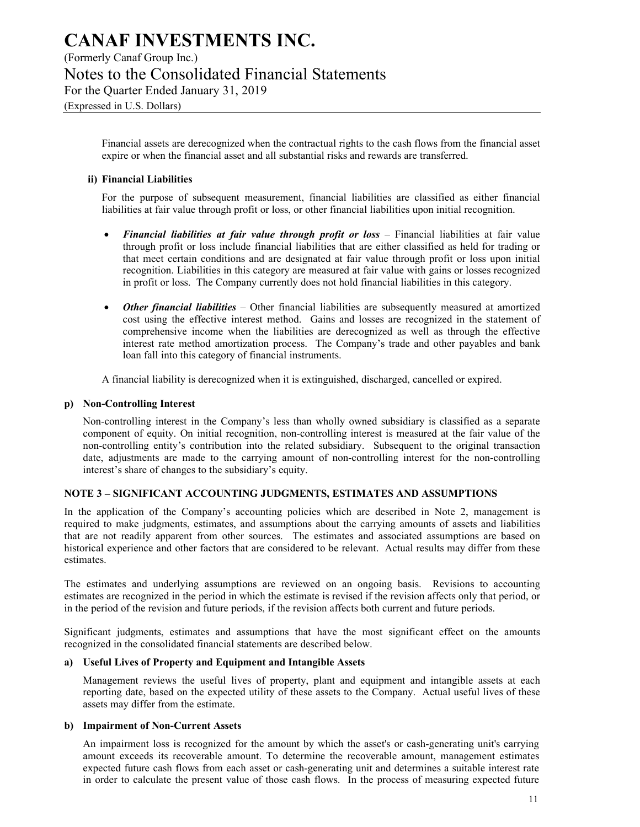(Formerly Canaf Group Inc.)

Notes to the Consolidated Financial Statements

For the Quarter Ended January 31, 2019

(Expressed in U.S. Dollars)

Financial assets are derecognized when the contractual rights to the cash flows from the financial asset expire or when the financial asset and all substantial risks and rewards are transferred.

#### **ii) Financial Liabilities**

For the purpose of subsequent measurement, financial liabilities are classified as either financial liabilities at fair value through profit or loss, or other financial liabilities upon initial recognition.

- *Financial liabilities at fair value through profit or loss* Financial liabilities at fair value through profit or loss include financial liabilities that are either classified as held for trading or that meet certain conditions and are designated at fair value through profit or loss upon initial recognition. Liabilities in this category are measured at fair value with gains or losses recognized in profit or loss. The Company currently does not hold financial liabilities in this category.
- *Other financial liabilities*  Other financial liabilities are subsequently measured at amortized cost using the effective interest method. Gains and losses are recognized in the statement of comprehensive income when the liabilities are derecognized as well as through the effective interest rate method amortization process. The Company's trade and other payables and bank loan fall into this category of financial instruments.

A financial liability is derecognized when it is extinguished, discharged, cancelled or expired.

#### **p) Non-Controlling Interest**

Non-controlling interest in the Company's less than wholly owned subsidiary is classified as a separate component of equity. On initial recognition, non-controlling interest is measured at the fair value of the non-controlling entity's contribution into the related subsidiary. Subsequent to the original transaction date, adjustments are made to the carrying amount of non-controlling interest for the non-controlling interest's share of changes to the subsidiary's equity.

#### **NOTE 3 – SIGNIFICANT ACCOUNTING JUDGMENTS, ESTIMATES AND ASSUMPTIONS**

In the application of the Company's accounting policies which are described in Note 2, management is required to make judgments, estimates, and assumptions about the carrying amounts of assets and liabilities that are not readily apparent from other sources. The estimates and associated assumptions are based on historical experience and other factors that are considered to be relevant. Actual results may differ from these estimates.

The estimates and underlying assumptions are reviewed on an ongoing basis. Revisions to accounting estimates are recognized in the period in which the estimate is revised if the revision affects only that period, or in the period of the revision and future periods, if the revision affects both current and future periods.

Significant judgments, estimates and assumptions that have the most significant effect on the amounts recognized in the consolidated financial statements are described below.

#### **a) Useful Lives of Property and Equipment and Intangible Assets**

Management reviews the useful lives of property, plant and equipment and intangible assets at each reporting date, based on the expected utility of these assets to the Company. Actual useful lives of these assets may differ from the estimate.

#### **b) Impairment of Non-Current Assets**

An impairment loss is recognized for the amount by which the asset's or cash-generating unit's carrying amount exceeds its recoverable amount. To determine the recoverable amount, management estimates expected future cash flows from each asset or cash-generating unit and determines a suitable interest rate in order to calculate the present value of those cash flows. In the process of measuring expected future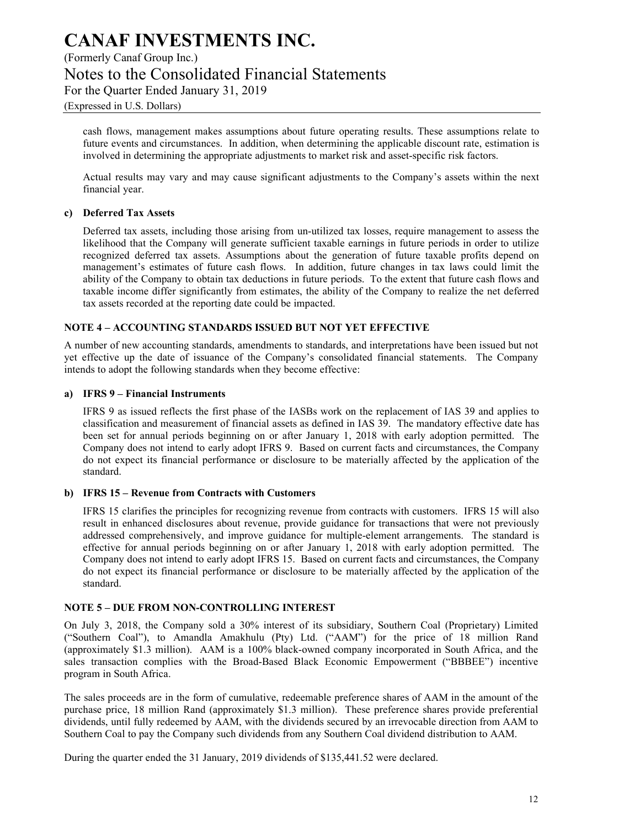(Formerly Canaf Group Inc.)

Notes to the Consolidated Financial Statements

For the Quarter Ended January 31, 2019

(Expressed in U.S. Dollars)

cash flows, management makes assumptions about future operating results. These assumptions relate to future events and circumstances. In addition, when determining the applicable discount rate, estimation is involved in determining the appropriate adjustments to market risk and asset-specific risk factors.

Actual results may vary and may cause significant adjustments to the Company's assets within the next financial year.

#### **c) Deferred Tax Assets**

Deferred tax assets, including those arising from un-utilized tax losses, require management to assess the likelihood that the Company will generate sufficient taxable earnings in future periods in order to utilize recognized deferred tax assets. Assumptions about the generation of future taxable profits depend on management's estimates of future cash flows. In addition, future changes in tax laws could limit the ability of the Company to obtain tax deductions in future periods. To the extent that future cash flows and taxable income differ significantly from estimates, the ability of the Company to realize the net deferred tax assets recorded at the reporting date could be impacted.

#### **NOTE 4 – ACCOUNTING STANDARDS ISSUED BUT NOT YET EFFECTIVE**

A number of new accounting standards, amendments to standards, and interpretations have been issued but not yet effective up the date of issuance of the Company's consolidated financial statements. The Company intends to adopt the following standards when they become effective:

#### **a) IFRS 9 – Financial Instruments**

IFRS 9 as issued reflects the first phase of the IASBs work on the replacement of IAS 39 and applies to classification and measurement of financial assets as defined in IAS 39. The mandatory effective date has been set for annual periods beginning on or after January 1, 2018 with early adoption permitted. The Company does not intend to early adopt IFRS 9. Based on current facts and circumstances, the Company do not expect its financial performance or disclosure to be materially affected by the application of the standard.

#### **b) IFRS 15 – Revenue from Contracts with Customers**

IFRS 15 clarifies the principles for recognizing revenue from contracts with customers. IFRS 15 will also result in enhanced disclosures about revenue, provide guidance for transactions that were not previously addressed comprehensively, and improve guidance for multiple-element arrangements. The standard is effective for annual periods beginning on or after January 1, 2018 with early adoption permitted. The Company does not intend to early adopt IFRS 15. Based on current facts and circumstances, the Company do not expect its financial performance or disclosure to be materially affected by the application of the standard.

#### **NOTE 5 – DUE FROM NON-CONTROLLING INTEREST**

On July 3, 2018, the Company sold a 30% interest of its subsidiary, Southern Coal (Proprietary) Limited ("Southern Coal"), to Amandla Amakhulu (Pty) Ltd. ("AAM") for the price of 18 million Rand (approximately \$1.3 million). AAM is a 100% black-owned company incorporated in South Africa, and the sales transaction complies with the Broad-Based Black Economic Empowerment ("BBBEE") incentive program in South Africa.

The sales proceeds are in the form of cumulative, redeemable preference shares of AAM in the amount of the purchase price, 18 million Rand (approximately \$1.3 million). These preference shares provide preferential dividends, until fully redeemed by AAM, with the dividends secured by an irrevocable direction from AAM to Southern Coal to pay the Company such dividends from any Southern Coal dividend distribution to AAM.

During the quarter ended the 31 January, 2019 dividends of \$135,441.52 were declared.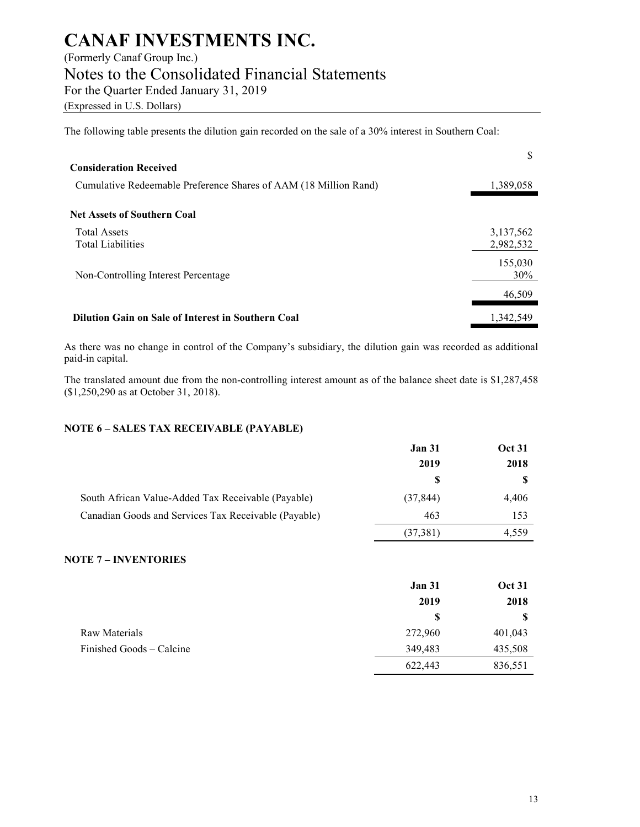### (Formerly Canaf Group Inc.)

Notes to the Consolidated Financial Statements

For the Quarter Ended January 31, 2019

(Expressed in U.S. Dollars)

The following table presents the dilution gain recorded on the sale of a 30% interest in Southern Coal:

| <b>Consideration Received</b>                                    | \$                     |
|------------------------------------------------------------------|------------------------|
| Cumulative Redeemable Preference Shares of AAM (18 Million Rand) | 1,389,058              |
| <b>Net Assets of Southern Coal</b>                               |                        |
| <b>Total Assets</b><br><b>Total Liabilities</b>                  | 3,137,562<br>2,982,532 |
| Non-Controlling Interest Percentage                              | 155,030<br>30%         |
|                                                                  | 46,509                 |
| <b>Dilution Gain on Sale of Interest in Southern Coal</b>        | 1.342.549              |

As there was no change in control of the Company's subsidiary, the dilution gain was recorded as additional paid-in capital.

The translated amount due from the non-controlling interest amount as of the balance sheet date is \$1,287,458 (\$1,250,290 as at October 31, 2018).

#### **NOTE 6 – SALES TAX RECEIVABLE (PAYABLE)**

|                                                      | <b>Jan 31</b> | <b>Oct 31</b> |
|------------------------------------------------------|---------------|---------------|
|                                                      | 2019          | 2018          |
|                                                      | S             |               |
| South African Value-Added Tax Receivable (Payable)   | (37, 844)     | 4,406         |
| Canadian Goods and Services Tax Receivable (Payable) | 463           | 153           |
|                                                      | (37,381)      | 4,559         |

#### **NOTE 7 – INVENTORIES**

|                          | <b>Jan 31</b> | <b>Oct 31</b> |
|--------------------------|---------------|---------------|
|                          | 2019          | 2018          |
|                          | S             | S             |
| Raw Materials            | 272,960       | 401,043       |
| Finished Goods – Calcine | 349,483       | 435,508       |
|                          | 622,443       | 836,551       |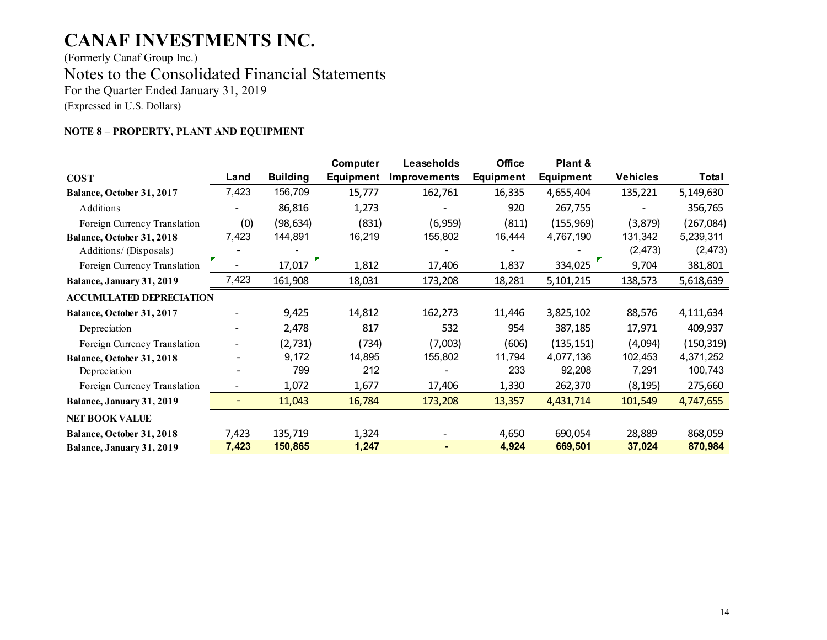(Formerly Canaf Group Inc.) Notes to the Consolidated Financial Statements For the Quarter Ended January 31, 2019

(Expressed in U.S. Dollars)

### **NOTE 8 – PROPERTY, PLANT AND EQUIPMENT**

|                                 |       |                 | Computer  | Leaseholds          | <b>Office</b>    | Plant &          |                 |            |
|---------------------------------|-------|-----------------|-----------|---------------------|------------------|------------------|-----------------|------------|
| <b>COST</b>                     | Land  | <b>Building</b> | Equipment | <b>Improvements</b> | <b>Equipment</b> | <b>Equipment</b> | <b>Vehicles</b> | Total      |
| Balance, October 31, 2017       | 7,423 | 156,709         | 15,777    | 162,761             | 16,335           | 4,655,404        | 135,221         | 5,149,630  |
| Additions                       |       | 86,816          | 1,273     |                     | 920              | 267,755          |                 | 356,765    |
| Foreign Currency Translation    | (0)   | (98,634)        | (831)     | (6,959)             | (811)            | (155, 969)       | (3,879)         | (267,084)  |
| Balance, October 31, 2018       | 7,423 | 144,891         | 16,219    | 155,802             | 16,444           | 4,767,190        | 131,342         | 5,239,311  |
| Additions/ (Disposals)          |       |                 |           |                     |                  |                  | (2, 473)        | (2, 473)   |
| Foreign Currency Translation    |       | 17,017          | 1,812     | 17,406              | 1,837            | 334,025          | 9,704           | 381,801    |
| Balance, January 31, 2019       | 7,423 | 161,908         | 18,031    | 173,208             | 18,281           | 5,101,215        | 138,573         | 5,618,639  |
| <b>ACCUMULATED DEPRECIATION</b> |       |                 |           |                     |                  |                  |                 |            |
| Balance, October 31, 2017       |       | 9,425           | 14,812    | 162,273             | 11,446           | 3,825,102        | 88,576          | 4,111,634  |
| Depreciation                    |       | 2,478           | 817       | 532                 | 954              | 387,185          | 17,971          | 409,937    |
| Foreign Currency Translation    |       | (2,731)         | (734)     | (7,003)             | (606)            | (135, 151)       | (4,094)         | (150, 319) |
| Balance, October 31, 2018       |       | 9,172           | 14,895    | 155,802             | 11,794           | 4,077,136        | 102,453         | 4,371,252  |
| Depreciation                    |       | 799             | 212       |                     | 233              | 92,208           | 7,291           | 100,743    |
| Foreign Currency Translation    |       | 1,072           | 1,677     | 17,406              | 1,330            | 262,370          | (8, 195)        | 275,660    |
| Balance, January 31, 2019       |       | 11,043          | 16,784    | 173,208             | 13,357           | 4,431,714        | 101,549         | 4,747,655  |
| <b>NET BOOK VALUE</b>           |       |                 |           |                     |                  |                  |                 |            |
| Balance, October 31, 2018       | 7,423 | 135,719         | 1,324     |                     | 4,650            | 690,054          | 28,889          | 868,059    |
| Balance, January 31, 2019       | 7,423 | 150,865         | 1,247     |                     | 4,924            | 669,501          | 37,024          | 870,984    |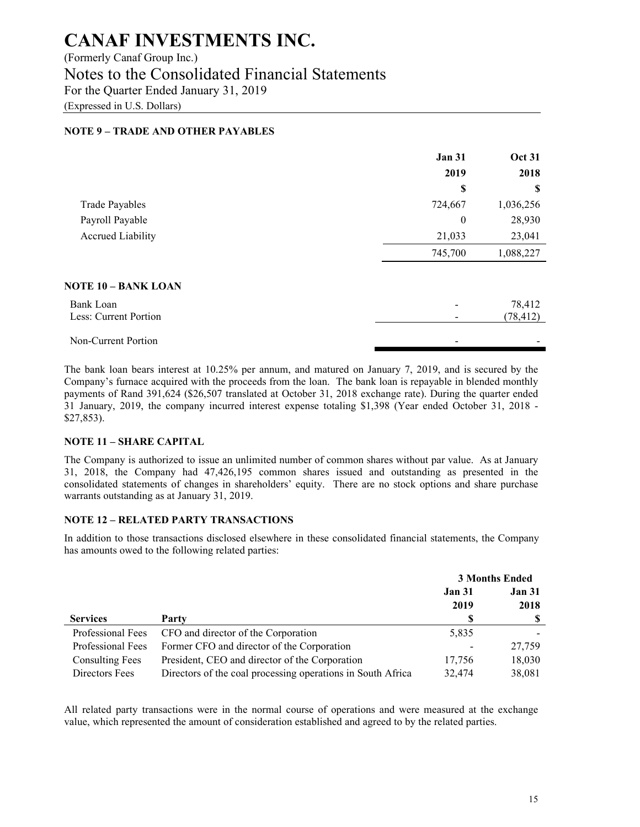### (Formerly Canaf Group Inc.)

Notes to the Consolidated Financial Statements

For the Quarter Ended January 31, 2019

(Expressed in U.S. Dollars)

### **NOTE 9 – TRADE AND OTHER PAYABLES**

|                          | <b>Jan 31</b> | <b>Oct 31</b> |
|--------------------------|---------------|---------------|
|                          | 2019          | 2018          |
|                          | S             | S             |
| <b>Trade Payables</b>    | 724,667       | 1,036,256     |
| Payroll Payable          | $\mathbf{0}$  | 28,930        |
| <b>Accrued Liability</b> | 21,033        | 23,041        |
|                          | 745,700       | 1,088,227     |
| NOTE 10 - BANK LOAN      |               |               |
| Bank Loan                |               | 78,412        |
| Less: Current Portion    |               | (78, 412)     |
| Non-Current Portion      |               |               |

The bank loan bears interest at 10.25% per annum, and matured on January 7, 2019, and is secured by the Company's furnace acquired with the proceeds from the loan. The bank loan is repayable in blended monthly payments of Rand 391,624 (\$26,507 translated at October 31, 2018 exchange rate). During the quarter ended 31 January, 2019, the company incurred interest expense totaling \$1,398 (Year ended October 31, 2018 - \$27,853).

### **NOTE 11 – SHARE CAPITAL**

The Company is authorized to issue an unlimited number of common shares without par value. As at January 31, 2018, the Company had 47,426,195 common shares issued and outstanding as presented in the consolidated statements of changes in shareholders' equity. There are no stock options and share purchase warrants outstanding as at January 31, 2019.

### **NOTE 12 – RELATED PARTY TRANSACTIONS**

In addition to those transactions disclosed elsewhere in these consolidated financial statements, the Company has amounts owed to the following related parties:

|                        |                                                             | <b>3 Months Ended</b>          |        |
|------------------------|-------------------------------------------------------------|--------------------------------|--------|
|                        |                                                             | <b>Jan 31</b><br><b>Jan 31</b> |        |
|                        |                                                             | 2019                           | 2018   |
| <b>Services</b>        | Party                                                       |                                | -SS    |
| Professional Fees      | CFO and director of the Corporation                         | 5,835                          |        |
| Professional Fees      | Former CFO and director of the Corporation                  |                                | 27,759 |
| <b>Consulting Fees</b> | President, CEO and director of the Corporation              | 17.756                         | 18,030 |
| Directors Fees         | Directors of the coal processing operations in South Africa | 32,474                         | 38,081 |

All related party transactions were in the normal course of operations and were measured at the exchange value, which represented the amount of consideration established and agreed to by the related parties.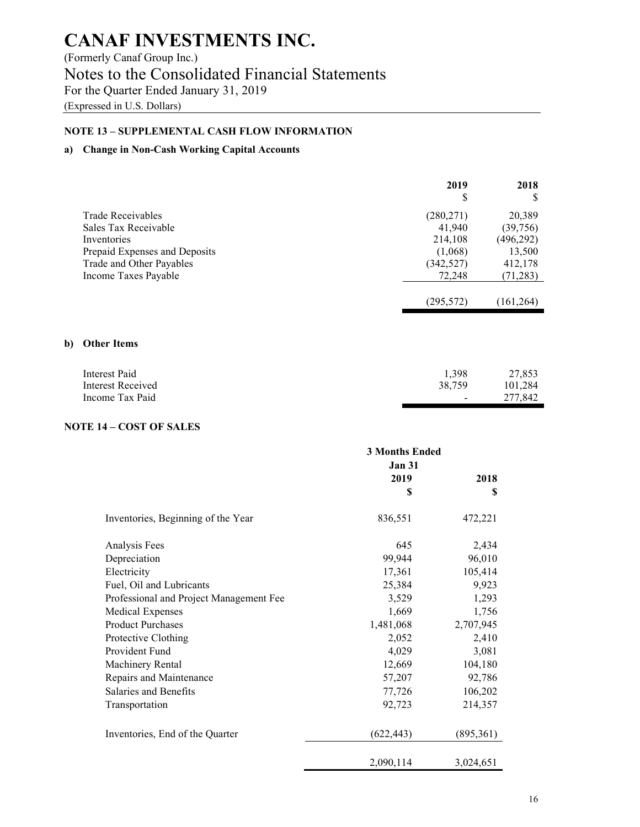(Formerly Canaf Group Inc.) Notes to the Consolidated Financial Statements For the Quarter Ended January 31, 2019 (Expressed in U.S. Dollars)

### **NOTE 13 – SUPPLEMENTAL CASH FLOW INFORMATION**

### **a) Change in Non-Cash Working Capital Accounts**

|                               | 2019<br>\$ | 2018<br>S  |
|-------------------------------|------------|------------|
| Trade Receivables             | (280, 271) | 20,389     |
| Sales Tax Receivable          | 41,940     | (39,756)   |
| Inventories                   | 214,108    | (496, 292) |
| Prepaid Expenses and Deposits | (1,068)    | 13,500     |
| Trade and Other Payables      | (342, 527) | 412,178    |
| Income Taxes Payable          | 72,248     | (71, 283)  |
|                               | (295, 572) | (161, 264) |
|                               |            |            |

### **b) Other Items**

| Interest Paid     | 1.398  | 27,853  |
|-------------------|--------|---------|
| Interest Received | 38.759 | 101.284 |
| Income Tax Paid   | $\sim$ | 277,842 |

### **NOTE 14 – COST OF SALES**

|                                         | <b>3 Months Ended</b><br><b>Jan 31</b> |            |  |
|-----------------------------------------|----------------------------------------|------------|--|
|                                         |                                        |            |  |
|                                         | 2019                                   | 2018       |  |
|                                         | \$                                     | S          |  |
| Inventories, Beginning of the Year      | 836,551                                | 472,221    |  |
| Analysis Fees                           | 645                                    | 2,434      |  |
| Depreciation                            | 99,944                                 | 96,010     |  |
| Electricity                             | 17,361                                 | 105,414    |  |
| Fuel, Oil and Lubricants                | 25,384                                 | 9,923      |  |
| Professional and Project Management Fee | 3,529                                  | 1,293      |  |
| <b>Medical Expenses</b>                 | 1,669                                  | 1,756      |  |
| <b>Product Purchases</b>                | 1,481,068                              | 2,707,945  |  |
| Protective Clothing                     | 2,052                                  | 2,410      |  |
| Provident Fund                          | 4,029                                  | 3,081      |  |
| Machinery Rental                        | 12,669                                 | 104,180    |  |
| Repairs and Maintenance                 | 57,207                                 | 92,786     |  |
| Salaries and Benefits                   | 77,726                                 | 106,202    |  |
| Transportation                          | 92,723                                 | 214,357    |  |
| Inventories, End of the Quarter         | (622, 443)                             | (895, 361) |  |
|                                         | 2,090,114                              | 3,024,651  |  |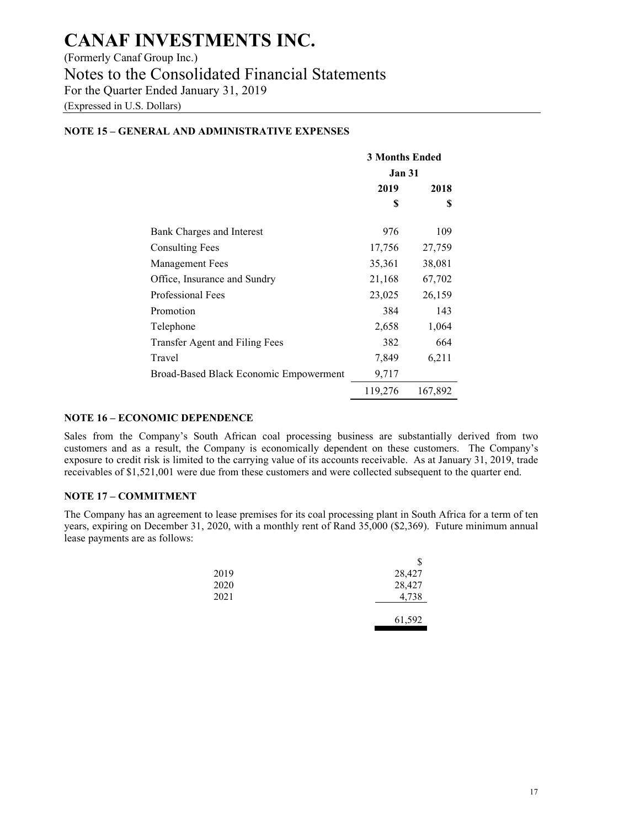(Formerly Canaf Group Inc.)

Notes to the Consolidated Financial Statements

For the Quarter Ended January 31, 2019

(Expressed in U.S. Dollars)

### **NOTE 15 – GENERAL AND ADMINISTRATIVE EXPENSES**

|                                        | <b>3 Months Ended</b> |         |
|----------------------------------------|-----------------------|---------|
|                                        | <b>Jan 31</b>         |         |
|                                        | 2019                  | 2018    |
|                                        | \$                    | S       |
| <b>Bank Charges and Interest</b>       | 976                   | 109     |
| <b>Consulting Fees</b>                 | 17,756                | 27,759  |
| Management Fees                        | 35,361                | 38,081  |
| Office, Insurance and Sundry           | 21,168                | 67,702  |
| Professional Fees                      | 23,025                | 26,159  |
| Promotion                              | 384                   | 143     |
| Telephone                              | 2,658                 | 1,064   |
| Transfer Agent and Filing Fees         | 382                   | 664     |
| Travel                                 | 7,849                 | 6,211   |
| Broad-Based Black Economic Empowerment | 9,717                 |         |
|                                        | 119,276               | 167,892 |

#### **NOTE 16 – ECONOMIC DEPENDENCE**

Sales from the Company's South African coal processing business are substantially derived from two customers and as a result, the Company is economically dependent on these customers. The Company's exposure to credit risk is limited to the carrying value of its accounts receivable. As at January 31, 2019, trade receivables of \$1,521,001 were due from these customers and were collected subsequent to the quarter end.

### **NOTE 17 – COMMITMENT**

The Company has an agreement to lease premises for its coal processing plant in South Africa for a term of ten years, expiring on December 31, 2020, with a monthly rent of Rand 35,000 (\$2,369). Future minimum annual lease payments are as follows:

|      | S      |
|------|--------|
| 2019 | 28,427 |
| 2020 | 28,427 |
| 2021 | 4,738  |
|      |        |
|      | 61,592 |
|      |        |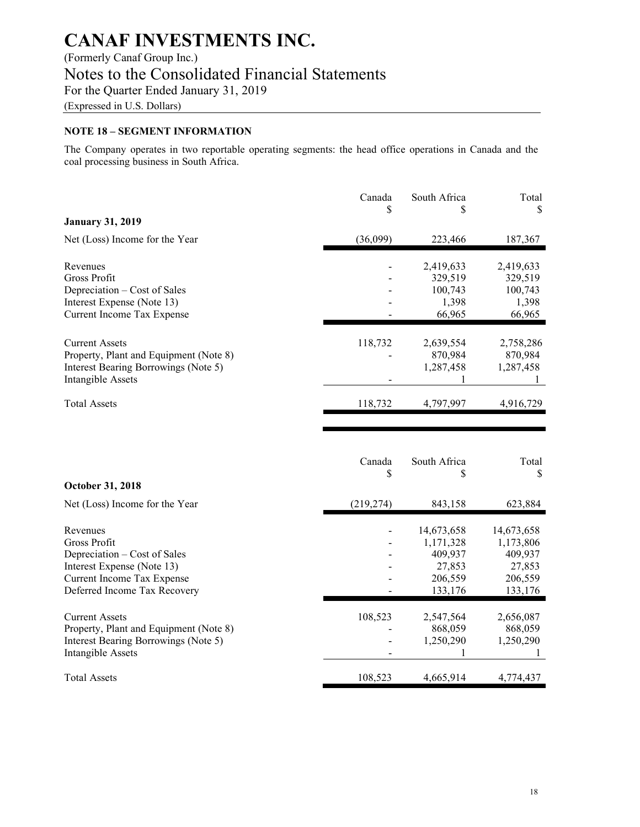(Formerly Canaf Group Inc.)

Notes to the Consolidated Financial Statements

For the Quarter Ended January 31, 2019

(Expressed in U.S. Dollars)

### **NOTE 18 – SEGMENT INFORMATION**

The Company operates in two reportable operating segments: the head office operations in Canada and the coal processing business in South Africa.

|                                        | Canada<br>S | South Africa | Total      |
|----------------------------------------|-------------|--------------|------------|
| <b>January 31, 2019</b>                |             |              |            |
| Net (Loss) Income for the Year         | (36,099)    | 223,466      | 187,367    |
| Revenues                               |             | 2,419,633    | 2,419,633  |
| Gross Profit                           |             | 329,519      | 329,519    |
| Depreciation – Cost of Sales           |             | 100,743      | 100,743    |
| Interest Expense (Note 13)             |             | 1,398        | 1,398      |
| Current Income Tax Expense             |             | 66,965       | 66,965     |
| <b>Current Assets</b>                  | 118,732     | 2,639,554    | 2,758,286  |
| Property, Plant and Equipment (Note 8) |             | 870,984      | 870,984    |
| Interest Bearing Borrowings (Note 5)   |             | 1,287,458    | 1,287,458  |
| Intangible Assets                      |             |              | L          |
| <b>Total Assets</b>                    | 118,732     | 4,797,997    | 4,916,729  |
|                                        |             |              |            |
|                                        | Canada      | South Africa | Total      |
|                                        | \$          | S            | \$         |
| October 31, 2018                       |             |              |            |
| Net (Loss) Income for the Year         | (219, 274)  | 843,158      | 623,884    |
| Revenues                               |             | 14,673,658   | 14,673,658 |
| Gross Profit                           |             | 1,171,328    | 1,173,806  |
| Depreciation – Cost of Sales           |             | 409,937      | 409,937    |
| Interest Expense (Note 13)             |             | 27,853       | 27,853     |
| Current Income Tax Expense             |             | 206,559      | 206,559    |
| Deferred Income Tax Recovery           |             | 133,176      | 133,176    |
| <b>Current Assets</b>                  | 108,523     | 2,547,564    | 2,656,087  |
| Property, Plant and Equipment (Note 8) |             | 868,059      | 868,059    |
| Interest Bearing Borrowings (Note 5)   |             | 1,250,290    | 1,250,290  |
| Intangible Assets                      |             |              | 1          |

Total Assets 108,523 4,665,914 4,774,437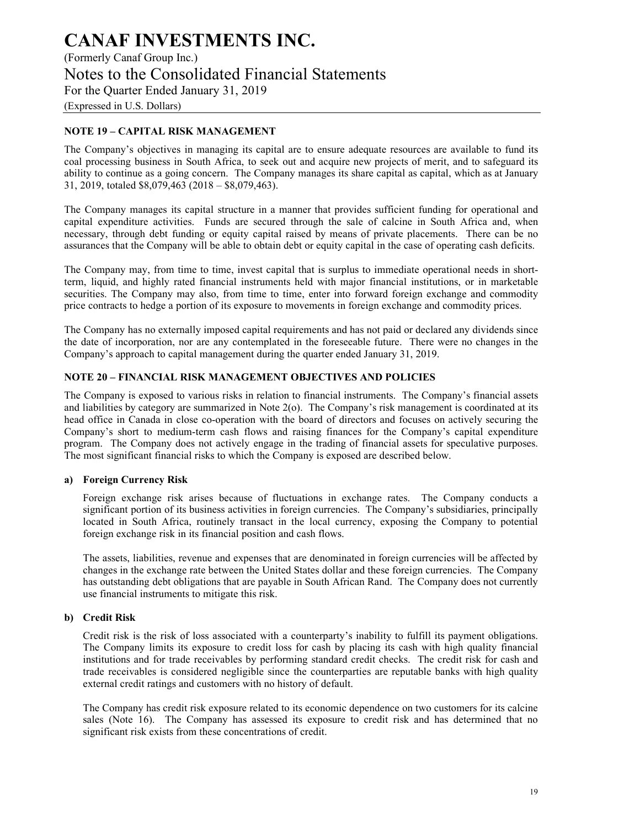### **CANAF INVESTMENTS INC.**  (Formerly Canaf Group Inc.) Notes to the Consolidated Financial Statements For the Quarter Ended January 31, 2019 (Expressed in U.S. Dollars)

### **NOTE 19 – CAPITAL RISK MANAGEMENT**

The Company's objectives in managing its capital are to ensure adequate resources are available to fund its coal processing business in South Africa, to seek out and acquire new projects of merit, and to safeguard its ability to continue as a going concern. The Company manages its share capital as capital, which as at January 31, 2019, totaled \$8,079,463 (2018 – \$8,079,463).

The Company manages its capital structure in a manner that provides sufficient funding for operational and capital expenditure activities. Funds are secured through the sale of calcine in South Africa and, when necessary, through debt funding or equity capital raised by means of private placements. There can be no assurances that the Company will be able to obtain debt or equity capital in the case of operating cash deficits.

The Company may, from time to time, invest capital that is surplus to immediate operational needs in shortterm, liquid, and highly rated financial instruments held with major financial institutions, or in marketable securities. The Company may also, from time to time, enter into forward foreign exchange and commodity price contracts to hedge a portion of its exposure to movements in foreign exchange and commodity prices.

The Company has no externally imposed capital requirements and has not paid or declared any dividends since the date of incorporation, nor are any contemplated in the foreseeable future. There were no changes in the Company's approach to capital management during the quarter ended January 31, 2019.

#### **NOTE 20 – FINANCIAL RISK MANAGEMENT OBJECTIVES AND POLICIES**

The Company is exposed to various risks in relation to financial instruments. The Company's financial assets and liabilities by category are summarized in Note 2(o). The Company's risk management is coordinated at its head office in Canada in close co-operation with the board of directors and focuses on actively securing the Company's short to medium-term cash flows and raising finances for the Company's capital expenditure program. The Company does not actively engage in the trading of financial assets for speculative purposes. The most significant financial risks to which the Company is exposed are described below.

#### **a) Foreign Currency Risk**

Foreign exchange risk arises because of fluctuations in exchange rates. The Company conducts a significant portion of its business activities in foreign currencies. The Company's subsidiaries, principally located in South Africa, routinely transact in the local currency, exposing the Company to potential foreign exchange risk in its financial position and cash flows.

The assets, liabilities, revenue and expenses that are denominated in foreign currencies will be affected by changes in the exchange rate between the United States dollar and these foreign currencies. The Company has outstanding debt obligations that are payable in South African Rand. The Company does not currently use financial instruments to mitigate this risk.

#### **b) Credit Risk**

Credit risk is the risk of loss associated with a counterparty's inability to fulfill its payment obligations. The Company limits its exposure to credit loss for cash by placing its cash with high quality financial institutions and for trade receivables by performing standard credit checks. The credit risk for cash and trade receivables is considered negligible since the counterparties are reputable banks with high quality external credit ratings and customers with no history of default.

The Company has credit risk exposure related to its economic dependence on two customers for its calcine sales (Note 16). The Company has assessed its exposure to credit risk and has determined that no significant risk exists from these concentrations of credit.